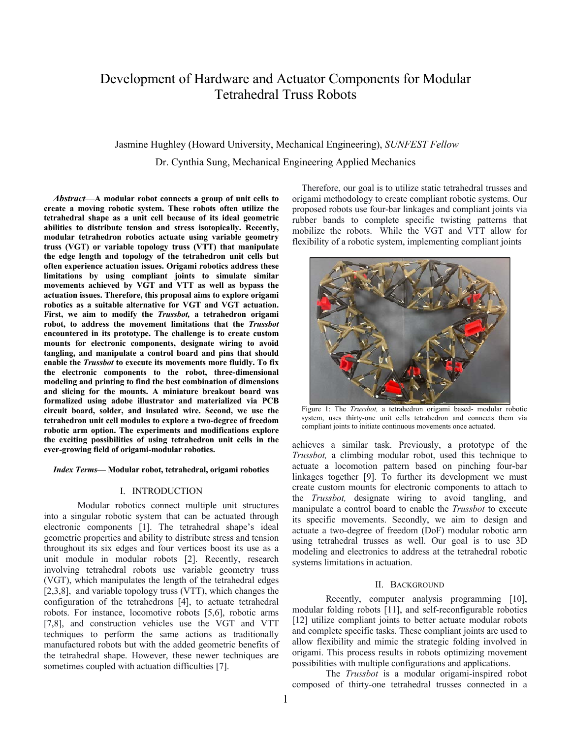# Development of Hardware and Actuator Components for Modular Tetrahedral Truss Robots

## Jasmine Hughley (Howard University, Mechanical Engineering), *SUNFEST Fellow* Dr. Cynthia Sung, Mechanical Engineering Applied Mechanics

*Abstract***—A modular robot connects a group of unit cells to create a moving robotic system. These robots often utilize the tetrahedral shape as a unit cell because of its ideal geometric abilities to distribute tension and stress isotopically. Recently, modular tetrahedron robotics actuate using variable geometry truss (VGT) or variable topology truss (VTT) that manipulate the edge length and topology of the tetrahedron unit cells but often experience actuation issues. Origami robotics address these limitations by using compliant joints to simulate similar movements achieved by VGT and VTT as well as bypass the actuation issues. Therefore, this proposal aims to explore origami robotics as a suitable alternative for VGT and VGT actuation. First, we aim to modify the** *Trussbot,* **a tetrahedron origami robot, to address the movement limitations that the** *Trussbot* **encountered in its prototype. The challenge is to create custom mounts for electronic components, designate wiring to avoid tangling, and manipulate a control board and pins that should enable the** *Trussbot* **to execute its movements more fluidly. To fix the electronic components to the robot, three-dimensional modeling and printing to find the best combination of dimensions and slicing for the mounts. A miniature breakout board was formalized using adobe illustrator and materialized via PCB circuit board, solder, and insulated wire. Second, we use the tetrahedron unit cell modules to explore a two-degree of freedom robotic arm option. The experiments and modifications explore the exciting possibilities of using tetrahedron unit cells in the ever-growing field of origami-modular robotics.**

#### *Index Terms***— Modular robot, tetrahedral, origami robotics**

## I. INTRODUCTION

Modular robotics connect multiple unit structures into a singular robotic system that can be actuated through electronic components [1]. The tetrahedral shape's ideal geometric properties and ability to distribute stress and tension throughout its six edges and four vertices boost its use as a unit module in modular robots [2]. Recently, research involving tetrahedral robots use variable geometry truss (VGT), which manipulates the length of the tetrahedral edges [2,3,8], and variable topology truss (VTT), which changes the configuration of the tetrahedrons [4], to actuate tetrahedral robots. For instance, locomotive robots [5,6], robotic arms [7,8], and construction vehicles use the VGT and VTT techniques to perform the same actions as traditionally manufactured robots but with the added geometric benefits of the tetrahedral shape. However, these newer techniques are sometimes coupled with actuation difficulties [7].

Therefore, our goal is to utilize static tetrahedral trusses and origami methodology to create compliant robotic systems. Our proposed robots use four-bar linkages and compliant joints via rubber bands to complete specific twisting patterns that mobilize the robots. While the VGT and VTT allow for flexibility of a robotic system, implementing compliant joints



Figure 1: The *Trussbot,* a tetrahedron origami based- modular robotic system, uses thirty-one unit cells tetrahedron and connects them via compliant joints to initiate continuous movements once actuated.

achieves a similar task. Previously, a prototype of the *Trussbot,* a climbing modular robot, used this technique to actuate a locomotion pattern based on pinching four-bar linkages together [9]. To further its development we must create custom mounts for electronic components to attach to the *Trussbot,* designate wiring to avoid tangling, and manipulate a control board to enable the *Trussbot* to execute its specific movements. Secondly, we aim to design and actuate a two-degree of freedom (DoF) modular robotic arm using tetrahedral trusses as well. Our goal is to use 3D modeling and electronics to address at the tetrahedral robotic systems limitations in actuation.

#### II. BACKGROUND

Recently, computer analysis programming [10], modular folding robots [11], and self-reconfigurable robotics [12] utilize compliant joints to better actuate modular robots and complete specific tasks. These compliant joints are used to allow flexibility and mimic the strategic folding involved in origami. This process results in robots optimizing movement possibilities with multiple configurations and applications.

The *Trussbot* is a modular origami-inspired robot composed of thirty-one tetrahedral trusses connected in a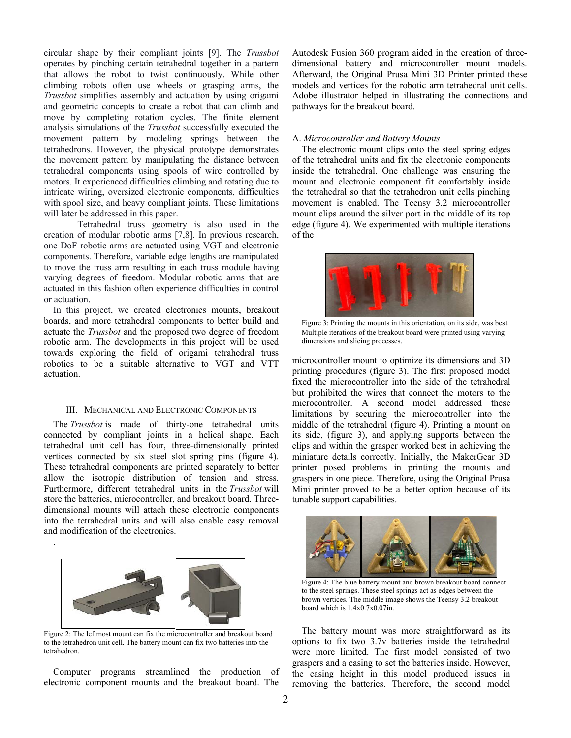circular shape by their compliant joints [9]. The *Trussbot* operates by pinching certain tetrahedral together in a pattern that allows the robot to twist continuously. While other climbing robots often use wheels or grasping arms, the *Trussbot* simplifies assembly and actuation by using origami and geometric concepts to create a robot that can climb and move by completing rotation cycles. The finite element analysis simulations of the *Trussbot* successfully executed the movement pattern by modeling springs between the tetrahedrons. However, the physical prototype demonstrates the movement pattern by manipulating the distance between tetrahedral components using spools of wire controlled by motors. It experienced difficulties climbing and rotating due to intricate wiring, oversized electronic components, difficulties with spool size, and heavy compliant joints. These limitations will later be addressed in this paper.

Tetrahedral truss geometry is also used in the creation of modular robotic arms [7,8]. In previous research, one DoF robotic arms are actuated using VGT and electronic components. Therefore, variable edge lengths are manipulated to move the truss arm resulting in each truss module having varying degrees of freedom. Modular robotic arms that are actuated in this fashion often experience difficulties in control or actuation.

In this project, we created electronics mounts, breakout boards, and more tetrahedral components to better build and actuate the *Trussbot* and the proposed two degree of freedom robotic arm. The developments in this project will be used towards exploring the field of origami tetrahedral truss robotics to be a suitable alternative to VGT and VTT actuation.

### III. MECHANICAL AND ELECTRONIC COMPONENTS

The *Trussbot* is made of thirty-one tetrahedral units connected by compliant joints in a helical shape. Each tetrahedral unit cell has four, three-dimensionally printed vertices connected by six steel slot spring pins (figure 4). These tetrahedral components are printed separately to better allow the isotropic distribution of tension and stress. Furthermore, different tetrahedral units in the *Trussbot* will store the batteries, microcontroller, and breakout board. Threedimensional mounts will attach these electronic components into the tetrahedral units and will also enable easy removal and modification of the electronics.



.

to the tetrahedron unit cell. The battery mount can fix two batteries into the tetrahedron.

Computer programs streamlined the production of electronic component mounts and the breakout board. The

Autodesk Fusion 360 program aided in the creation of threedimensional battery and microcontroller mount models. Afterward, the Original Prusa Mini 3D Printer printed these models and vertices for the robotic arm tetrahedral unit cells. Adobe illustrator helped in illustrating the connections and pathways for the breakout board.

#### A. *Microcontroller and Battery Mounts*

The electronic mount clips onto the steel spring edges of the tetrahedral units and fix the electronic components inside the tetrahedral. One challenge was ensuring the mount and electronic component fit comfortably inside the tetrahedral so that the tetrahedron unit cells pinching movement is enabled. The Teensy 3.2 microcontroller mount clips around the silver port in the middle of its top edge (figure 4). We experimented with multiple iterations of the



Multiple iterations of the breakout board were printed using varying dimensions and slicing processes.

microcontroller mount to optimize its dimensions and 3D printing procedures (figure 3). The first proposed model fixed the microcontroller into the side of the tetrahedral but prohibited the wires that connect the motors to the microcontroller. A second model addressed these limitations by securing the microcontroller into the middle of the tetrahedral (figure 4). Printing a mount on its side, (figure 3), and applying supports between the clips and within the grasper worked best in achieving the miniature details correctly. Initially, the MakerGear 3D printer posed problems in printing the mounts and graspers in one piece. Therefore, using the Original Prusa Mini printer proved to be a better option because of its tunable support capabilities.



Figure 4: The blue battery mount and brown breakout board connect to the steel springs. These steel springs act as edges between the brown vertices. The middle image shows the Teensy 3.2 breakout board which is 1.4x0.7x0.07in.

The battery mount was more straightforward as its options to fix two 3.7v batteries inside the tetrahedral were more limited. The first model consisted of two graspers and a casing to set the batteries inside. However, the casing height in this model produced issues in removing the batteries. Therefore, the second model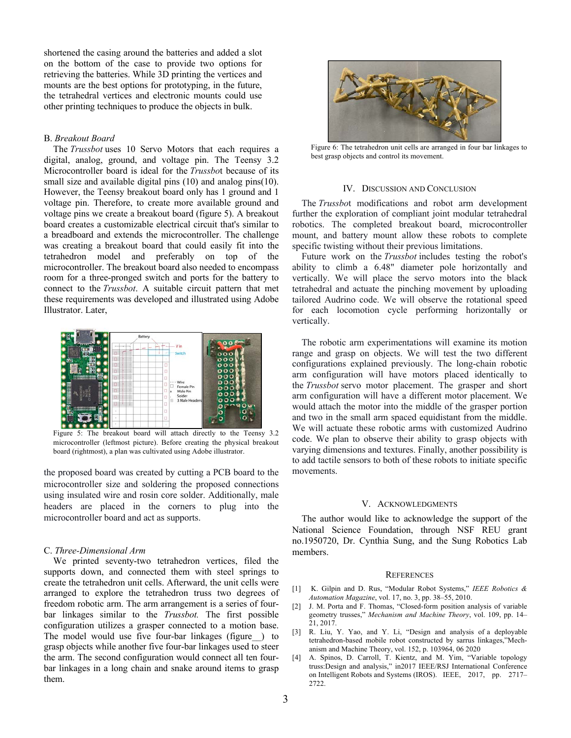shortened the casing around the batteries and added a slot on the bottom of the case to provide two options for retrieving the batteries. While 3D printing the vertices and mounts are the best options for prototyping, in the future, the tetrahedral vertices and electronic mounts could use other printing techniques to produce the objects in bulk.

## B. *Breakout Board*

The *Trussbot* uses 10 Servo Motors that each requires a digital, analog, ground, and voltage pin. The Teensy 3.2 Microcontroller board is ideal for the *Trussbo*t because of its small size and available digital pins (10) and analog pins (10). However, the Teensy breakout board only has 1 ground and 1 voltage pin. Therefore, to create more available ground and voltage pins we create a breakout board (figure 5). A breakout board creates a customizable electrical circuit that's similar to a breadboard and extends the microcontroller. The challenge was creating a breakout board that could easily fit into the tetrahedron model and preferably on top of the microcontroller. The breakout board also needed to encompass room for a three-pronged switch and ports for the battery to connect to the *Trussbot*. A suitable circuit pattern that met these requirements was developed and illustrated using Adobe Illustrator. Later,



Figure 5: The breakout board will attach directly to the Teensy 3.2 microcontroller (leftmost picture). Before creating the physical breakout board (rightmost), a plan was cultivated using Adobe illustrator.

the proposed board was created by cutting a PCB board to the microcontroller size and soldering the proposed connections using insulated wire and rosin core solder. Additionally, male headers are placed in the corners to plug into the microcontroller board and act as supports.

#### C. *Three-Dimensional Arm*

We printed seventy-two tetrahedron vertices, filed the supports down, and connected them with steel springs to create the tetrahedron unit cells. Afterward, the unit cells were arranged to explore the tetrahedron truss two degrees of freedom robotic arm. The arm arrangement is a series of fourbar linkages similar to the *Trussbot.* The first possible configuration utilizes a grasper connected to a motion base. The model would use five four-bar linkages (figure\_\_) to grasp objects while another five four-bar linkages used to steer the arm. The second configuration would connect all ten fourbar linkages in a long chain and snake around items to grasp them.



Figure 6: The tetrahedron unit cells are arranged in four bar linkages to best grasp objects and control its movement.

#### IV. DISCUSSION AND CONCLUSION

The *Trussbo*t modifications and robot arm development further the exploration of compliant joint modular tetrahedral robotics. The completed breakout board, microcontroller mount, and battery mount allow these robots to complete specific twisting without their previous limitations.

Future work on the *Trussbot* includes testing the robot's ability to climb a 6.48" diameter pole horizontally and vertically. We will place the servo motors into the black tetrahedral and actuate the pinching movement by uploading tailored Audrino code. We will observe the rotational speed for each locomotion cycle performing horizontally or vertically.

The robotic arm experimentations will examine its motion range and grasp on objects. We will test the two different configurations explained previously. The long-chain robotic arm configuration will have motors placed identically to the *Trussbot* servo motor placement. The grasper and short arm configuration will have a different motor placement. We would attach the motor into the middle of the grasper portion and two in the small arm spaced equidistant from the middle. We will actuate these robotic arms with customized Audrino code. We plan to observe their ability to grasp objects with varying dimensions and textures. Finally, another possibility is to add tactile sensors to both of these robots to initiate specific movements.

#### V. ACKNOWLEDGMENTS

The author would like to acknowledge the support of the National Science Foundation, through NSF REU grant no.1950720, Dr. Cynthia Sung, and the Sung Robotics Lab members.

#### **REFERENCES**

- [1] K. Gilpin and D. Rus, "Modular Robot Systems," *IEEE Robotics & Automation Magazine*, vol. 17, no. 3, pp. 38–55, 2010.
- [2] J. M. Porta and F. Thomas, "Closed-form position analysis of variable geometry trusses," *Mechanism and Machine Theory*, vol. 109, pp. 14– 21, 2017.
- [3] R. Liu, Y. Yao, and Y. Li, "Design and analysis of a deployable tetrahedron-based mobile robot constructed by sarrus linkages,"Mechanism and Machine Theory, vol. 152, p. 103964, 06 2020
- [4] A. Spinos, D. Carroll, T. Kientz, and M. Yim, "Variable topology truss:Design and analysis," in2017 IEEE/RSJ International Conference on Intelligent Robots and Systems (IROS). IEEE, 2017, pp. 2717– 2722.